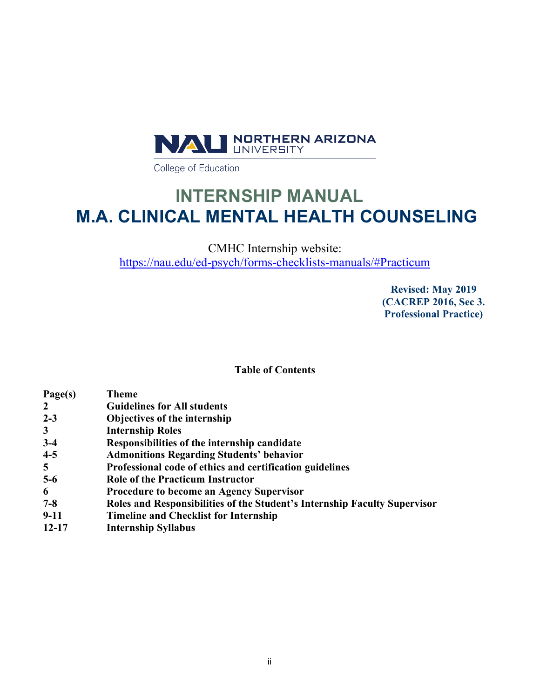

College of Education

# **INTERNSHIP MANUAL M.A. CLINICAL MENTAL HEALTH COUNSELING**

CMHC Internship website: https://nau.edu/ed-psych/forms-checklists-manuals/#Practicum

> **Revised: May 2019 (CACREP 2016, Sec 3. Professional Practice)**

#### **Table of Contents**

| Page(s)   | Theme                                                                     |
|-----------|---------------------------------------------------------------------------|
| 2         | <b>Guidelines for All students</b>                                        |
| $2 - 3$   | Objectives of the internship                                              |
| 3         | <b>Internship Roles</b>                                                   |
| $3-4$     | Responsibilities of the internship candidate                              |
| $4 - 5$   | <b>Admonitions Regarding Students' behavior</b>                           |
| 5         | Professional code of ethics and certification guidelines                  |
| $5-6$     | <b>Role of the Practicum Instructor</b>                                   |
| 6         | Procedure to become an Agency Supervisor                                  |
| $7 - 8$   | Roles and Responsibilities of the Student's Internship Faculty Supervisor |
| $9 - 11$  | <b>Timeline and Checklist for Internship</b>                              |
| $12 - 17$ | <b>Internship Syllabus</b>                                                |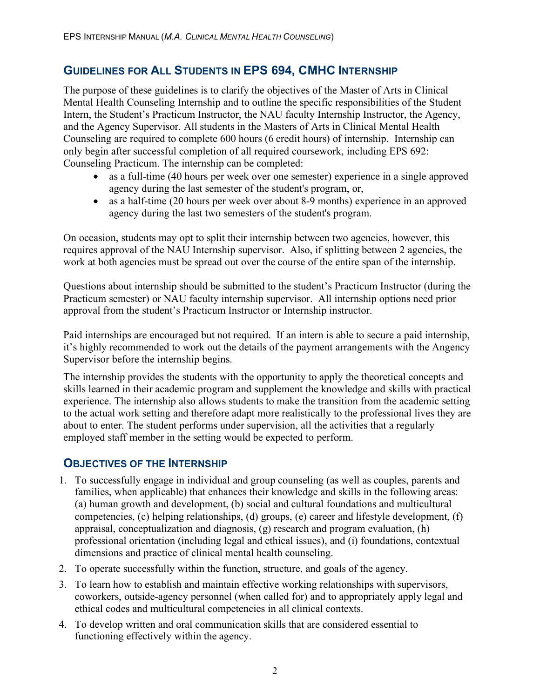# **GUIDELINES FOR ALL STUDENTS IN EPS 694, CMHC INTERNSHIP**

The purpose of these guidelines is to clarify the objectives of the Master of Arts in Clinical Mental Health Counseling Internship and to outline the specific responsibilities of the Student Intern, the Student's Practicum Instructor, the NAU faculty Internship Instructor, the Agency, and the Agency Supervisor. All students in the Masters of Arts in Clinical Mental Health Counseling are required to complete 600 hours (6 credit hours) of internship. Internship can only begin after successful completion of all required coursework, including EPS 692: Counseling Practicum. The internship can be completed:

- as a full-time (40 hours per week over one semester) experience in a single approved agency during the last semester of the student's program, or,
- as a half-time (20 hours per week over about 8-9 months) experience in an approved agency during the last two semesters of the student's program.

On occasion, students may opt to split their internship between two agencies, however, this requires approval of the NAU Internship supervisor. Also, if splitting between 2 agencies, the work at both agencies must be spread out over the course of the entire span of the internship.

Questions about internship should be submitted to the student's Practicum Instructor (during the Practicum semester) or NAU faculty internship supervisor. All internship options need prior approval from the student's Practicum Instructor or Internship instructor.

Paid internships are encouraged but not required. If an intern is able to secure a paid internship, it's highly recommended to work out the details of the payment arrangements with the Angency Supervisor before the internship begins.

The internship provides the students with the opportunity to apply the theoretical concepts and skills learned in their academic program and supplement the knowledge and skills with practical experience. The internship also allows students to make the transition from the academic setting to the actual work setting and therefore adapt more realistically to the professional lives they are about to enter. The student performs under supervision, all the activities that a regularly employed staff member in the setting would be expected to perform.

## **OBJECTIVES OF THE INTERNSHIP**

- 1. To successfully engage in individual and group counseling (as well as couples, parents and families, when applicable) that enhances their knowledge and skills in the following areas: (a) human growth and development, (b) social and cultural foundations and multicultural competencies, (c) helping relationships, (d) groups, (e) career and lifestyle development, (f) appraisal, conceptualization and diagnosis, (g) research and program evaluation, (h) professional orientation (including legal and ethical issues), and (i) foundations, contextual dimensions and practice of clinical mental health counseling.
- 2. To operate successfully within the function, structure, and goals of the agency.
- 3. To learn how to establish and maintain effective working relationships with supervisors, coworkers, outside-agency personnel (when called for) and to appropriately apply legal and ethical codes and multicultural competencies in all clinical contexts.
- 4. To develop written and oral communication skills that are considered essential to functioning effectively within the agency.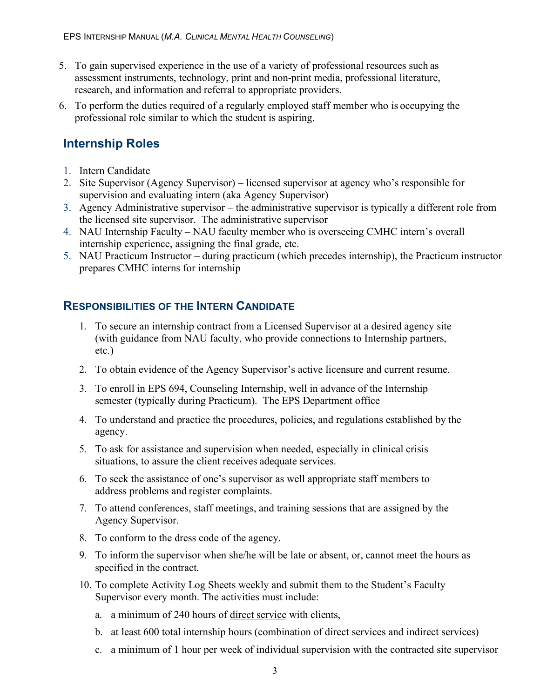- 5. To gain supervised experience in the use of a variety of professional resources such as assessment instruments, technology, print and non-print media, professional literature, research, and information and referral to appropriate providers.
- 6. To perform the duties required of a regularly employed staff member who is occupying the professional role similar to which the student is aspiring.

# **Internship Roles**

- 1. Intern Candidate
- 2. Site Supervisor (Agency Supervisor) licensed supervisor at agency who's responsible for supervision and evaluating intern (aka Agency Supervisor)
- 3. Agency Administrative supervisor the administrative supervisor is typically a different role from the licensed site supervisor. The administrative supervisor
- 4. NAU Internship Faculty NAU faculty member who is overseeing CMHC intern's overall internship experience, assigning the final grade, etc.
- 5. NAU Practicum Instructor during practicum (which precedes internship), the Practicum instructor prepares CMHC interns for internship

# **RESPONSIBILITIES OF THE INTERN CANDIDATE**

- 1. To secure an internship contract from a Licensed Supervisor at a desired agency site (with guidance from NAU faculty, who provide connections to Internship partners, etc.)
- 2. To obtain evidence of the Agency Supervisor's active licensure and current resume.
- 3. To enroll in EPS 694, Counseling Internship, well in advance of the Internship semester (typically during Practicum). The EPS Department office
- 4. To understand and practice the procedures, policies, and regulations established by the agency.
- 5. To ask for assistance and supervision when needed, especially in clinical crisis situations, to assure the client receives adequate services.
- 6. To seek the assistance of one's supervisor as well appropriate staff members to address problems and register complaints.
- 7. To attend conferences, staff meetings, and training sessions that are assigned by the Agency Supervisor.
- 8. To conform to the dress code of the agency.
- 9. To inform the supervisor when she/he will be late or absent, or, cannot meet the hours as specified in the contract.
- 10. To complete Activity Log Sheets weekly and submit them to the Student's Faculty Supervisor every month. The activities must include:
	- a. a minimum of 240 hours of direct service with clients,
	- b. at least 600 total internship hours (combination of direct services and indirect services)
	- c. a minimum of 1 hour per week of individual supervision with the contracted site supervisor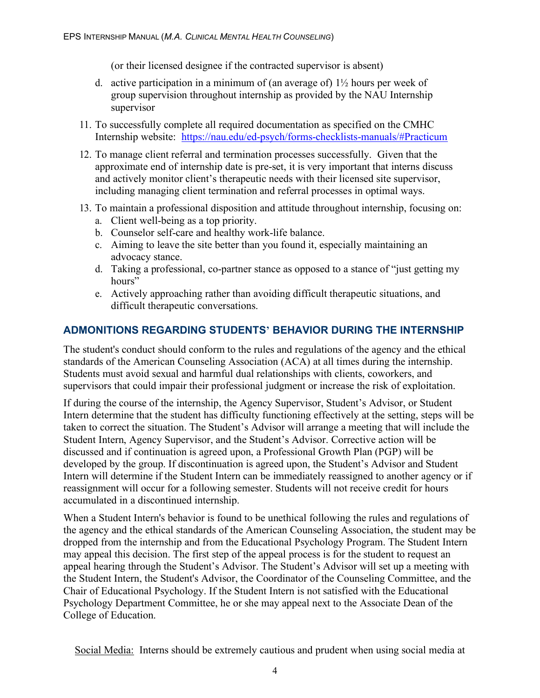(or their licensed designee if the contracted supervisor is absent)

- d. active participation in a minimum of (an average of)  $1\frac{1}{2}$  hours per week of group supervision throughout internship as provided by the NAU Internship supervisor
- 11. To successfully complete all required documentation as specified on the CMHC Internship website: https://nau.edu/ed-psych/forms-checklists-manuals/#Practicum
- 12. To manage client referral and termination processes successfully. Given that the approximate end of internship date is pre-set, it is very important that interns discuss and actively monitor client's therapeutic needs with their licensed site supervisor, including managing client termination and referral processes in optimal ways.
- 13. To maintain a professional disposition and attitude throughout internship, focusing on:
	- a. Client well-being as a top priority.
	- b. Counselor self-care and healthy work-life balance.
	- c. Aiming to leave the site better than you found it, especially maintaining an advocacy stance.
	- d. Taking a professional, co-partner stance as opposed to a stance of "just getting my hours"
	- e. Actively approaching rather than avoiding difficult therapeutic situations, and difficult therapeutic conversations.

## **ADMONITIONS REGARDING STUDENTS' BEHAVIOR DURING THE INTERNSHIP**

The student's conduct should conform to the rules and regulations of the agency and the ethical standards of the American Counseling Association (ACA) at all times during the internship. Students must avoid sexual and harmful dual relationships with clients, coworkers, and supervisors that could impair their professional judgment or increase the risk of exploitation.

If during the course of the internship, the Agency Supervisor, Student's Advisor, or Student Intern determine that the student has difficulty functioning effectively at the setting, steps will be taken to correct the situation. The Student's Advisor will arrange a meeting that will include the Student Intern, Agency Supervisor, and the Student's Advisor. Corrective action will be discussed and if continuation is agreed upon, a Professional Growth Plan (PGP) will be developed by the group. If discontinuation is agreed upon, the Student's Advisor and Student Intern will determine if the Student Intern can be immediately reassigned to another agency or if reassignment will occur for a following semester. Students will not receive credit for hours accumulated in a discontinued internship.

When a Student Intern's behavior is found to be unethical following the rules and regulations of the agency and the ethical standards of the American Counseling Association, the student may be dropped from the internship and from the Educational Psychology Program. The Student Intern may appeal this decision. The first step of the appeal process is for the student to request an appeal hearing through the Student's Advisor. The Student's Advisor will set up a meeting with the Student Intern, the Student's Advisor, the Coordinator of the Counseling Committee, and the Chair of Educational Psychology. If the Student Intern is not satisfied with the Educational Psychology Department Committee, he or she may appeal next to the Associate Dean of the College of Education.

Social Media: Interns should be extremely cautious and prudent when using social media at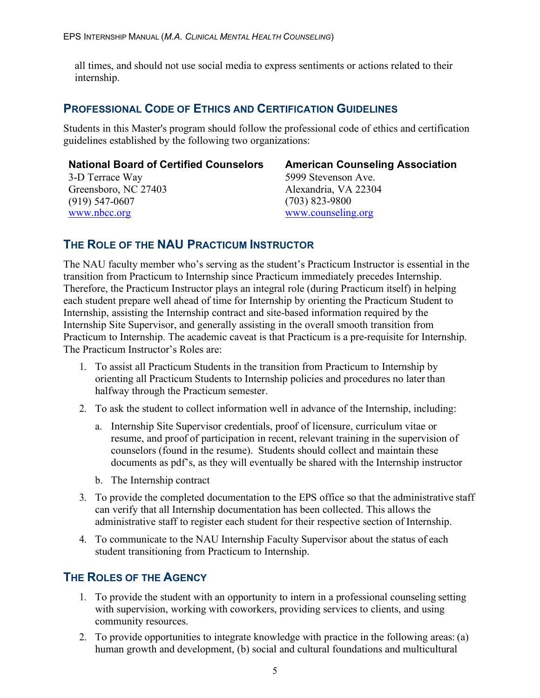all times, and should not use social media to express sentiments or actions related to their internship.

# **PROFESSIONAL CODE OF ETHICS AND CERTIFICATION GUIDELINES**

Students in this Master's program should follow the professional code of ethics and certification guidelines established by the following two organizations:

| <b>National Board of Certified Counselors</b> |  |  |
|-----------------------------------------------|--|--|
| 3-D Terrace Way                               |  |  |
| Greensboro, NC 27403                          |  |  |
| $(919)$ 547-0607                              |  |  |
| www.nbcc.org                                  |  |  |

**American Counseling Association** 5999 Stevenson Ave. Alexandria, VA 22304 (703) 823-9800 www.counseling.org

# **THE ROLE OF THE NAU PRACTICUM INSTRUCTOR**

The NAU faculty member who's serving as the student's Practicum Instructor is essential in the transition from Practicum to Internship since Practicum immediately precedes Internship. Therefore, the Practicum Instructor plays an integral role (during Practicum itself) in helping each student prepare well ahead of time for Internship by orienting the Practicum Student to Internship, assisting the Internship contract and site-based information required by the Internship Site Supervisor, and generally assisting in the overall smooth transition from Practicum to Internship. The academic caveat is that Practicum is a pre-requisite for Internship. The Practicum Instructor's Roles are:

- 1. To assist all Practicum Students in the transition from Practicum to Internship by orienting all Practicum Students to Internship policies and procedures no later than halfway through the Practicum semester.
- 2. To ask the student to collect information well in advance of the Internship, including:
	- a. Internship Site Supervisor credentials, proof of licensure, curriculum vitae or resume, and proof of participation in recent, relevant training in the supervision of counselors (found in the resume). Students should collect and maintain these documents as pdf's, as they will eventually be shared with the Internship instructor
	- b. The Internship contract
- 3. To provide the completed documentation to the EPS office so that the administrative staff can verify that all Internship documentation has been collected. This allows the administrative staff to register each student for their respective section of Internship.
- 4. To communicate to the NAU Internship Faculty Supervisor about the status of each student transitioning from Practicum to Internship.

# **THE ROLES OF THE AGENCY**

- 1. To provide the student with an opportunity to intern in a professional counseling setting with supervision, working with coworkers, providing services to clients, and using community resources.
- 2. To provide opportunities to integrate knowledge with practice in the following areas: (a) human growth and development, (b) social and cultural foundations and multicultural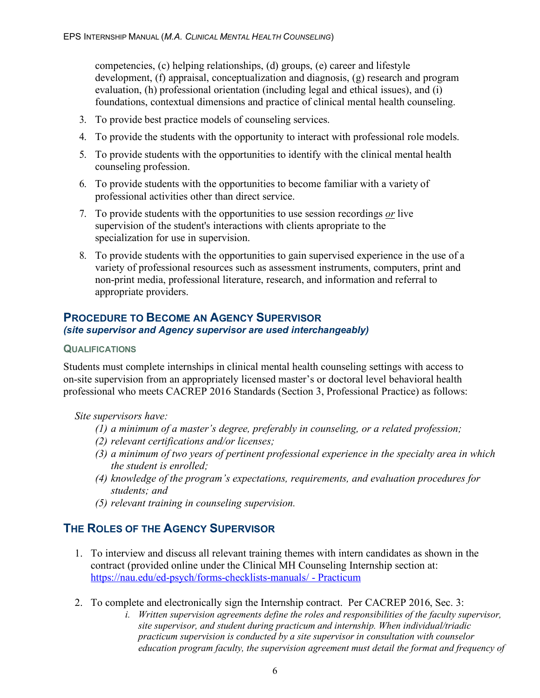competencies, (c) helping relationships, (d) groups, (e) career and lifestyle development, (f) appraisal, conceptualization and diagnosis, (g) research and program evaluation, (h) professional orientation (including legal and ethical issues), and (i) foundations, contextual dimensions and practice of clinical mental health counseling.

- 3. To provide best practice models of counseling services.
- 4. To provide the students with the opportunity to interact with professional role models.
- 5. To provide students with the opportunities to identify with the clinical mental health counseling profession.
- 6. To provide students with the opportunities to become familiar with a variety of professional activities other than direct service.
- 7. To provide students with the opportunities to use session recordings *or* live supervision of the student's interactions with clients apropriate to the specialization for use in supervision.
- 8. To provide students with the opportunities to gain supervised experience in the use of a variety of professional resources such as assessment instruments, computers, print and non-print media, professional literature, research, and information and referral to appropriate providers.

#### **PROCEDURE TO BECOME AN AGENCY SUPERVISOR** *(site supervisor and Agency supervisor are used interchangeably)*

#### **QUALIFICATIONS**

Students must complete internships in clinical mental health counseling settings with access to on-site supervision from an appropriately licensed master's or doctoral level behavioral health professional who meets CACREP 2016 Standards (Section 3, Professional Practice) as follows:

#### *Site supervisors have:*

- *(1) a minimum of a master's degree, preferably in counseling, or a related profession;*
- *(2) relevant certifications and/or licenses;*
- *(3) a minimum of two years of pertinent professional experience in the specialty area in which the student is enrolled;*
- *(4) knowledge of the program's expectations, requirements, and evaluation procedures for students; and*
- *(5) relevant training in counseling supervision.*

# **THE ROLES OF THE AGENCY SUPERVISOR**

- 1. To interview and discuss all relevant training themes with intern candidates as shown in the contract (provided online under the Clinical MH Counseling Internship section at: https://nau.edu/ed-psych/forms-checklists-manuals/ - Practicum
- 2. To complete and electronically sign the Internship contract. Per CACREP 2016, Sec. 3:
	- *i. Written supervision agreements define the roles and responsibilities of the faculty supervisor, site supervisor, and student during practicum and internship. When individual/triadic practicum supervision is conducted by a site supervisor in consultation with counselor education program faculty, the supervision agreement must detail the format and frequency of*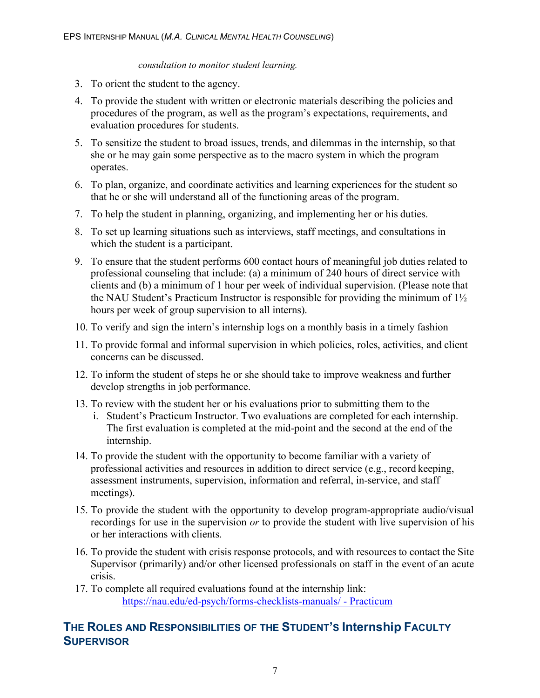#### *consultation to monitor student learning.*

- 3. To orient the student to the agency.
- 4. To provide the student with written or electronic materials describing the policies and procedures of the program, as well as the program's expectations, requirements, and evaluation procedures for students.
- 5. To sensitize the student to broad issues, trends, and dilemmas in the internship, so that she or he may gain some perspective as to the macro system in which the program operates.
- 6. To plan, organize, and coordinate activities and learning experiences for the student so that he or she will understand all of the functioning areas of the program.
- 7. To help the student in planning, organizing, and implementing her or his duties.
- 8. To set up learning situations such as interviews, staff meetings, and consultations in which the student is a participant.
- 9. To ensure that the student performs 600 contact hours of meaningful job duties related to professional counseling that include: (a) a minimum of 240 hours of direct service with clients and (b) a minimum of 1 hour per week of individual supervision. (Please note that the NAU Student's Practicum Instructor is responsible for providing the minimum of 1½ hours per week of group supervision to all interns).
- 10. To verify and sign the intern's internship logs on a monthly basis in a timely fashion
- 11. To provide formal and informal supervision in which policies, roles, activities, and client concerns can be discussed.
- 12. To inform the student of steps he or she should take to improve weakness and further develop strengths in job performance.
- 13. To review with the student her or his evaluations prior to submitting them to the
	- i. Student's Practicum Instructor. Two evaluations are completed for each internship. The first evaluation is completed at the mid-point and the second at the end of the internship.
- 14. To provide the student with the opportunity to become familiar with a variety of professional activities and resources in addition to direct service (e.g., record keeping, assessment instruments, supervision, information and referral, in-service, and staff meetings).
- 15. To provide the student with the opportunity to develop program-appropriate audio/visual recordings for use in the supervision *or* to provide the student with live supervision of his or her interactions with clients.
- 16. To provide the student with crisis response protocols, and with resources to contact the Site Supervisor (primarily) and/or other licensed professionals on staff in the event of an acute crisis.
- 17. To complete all required evaluations found at the internship link: https://nau.edu/ed-psych/forms-checklists-manuals/ - Practicum

# **THE ROLES AND RESPONSIBILITIES OF THE STUDENT'S Internship FACULTY SUPERVISOR**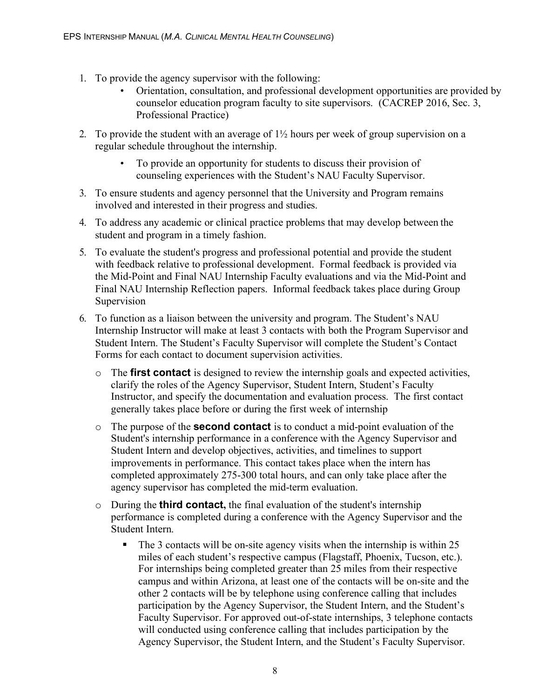- 1. To provide the agency supervisor with the following:
	- Orientation, consultation, and professional development opportunities are provided by counselor education program faculty to site supervisors. (CACREP 2016, Sec. 3, Professional Practice)
- 2. To provide the student with an average of 1½ hours per week of group supervision on a regular schedule throughout the internship.
	- To provide an opportunity for students to discuss their provision of counseling experiences with the Student's NAU Faculty Supervisor.
- 3. To ensure students and agency personnel that the University and Program remains involved and interested in their progress and studies.
- 4. To address any academic or clinical practice problems that may develop between the student and program in a timely fashion.
- 5. To evaluate the student's progress and professional potential and provide the student with feedback relative to professional development. Formal feedback is provided via the Mid-Point and Final NAU Internship Faculty evaluations and via the Mid-Point and Final NAU Internship Reflection papers. Informal feedback takes place during Group Supervision
- 6. To function as a liaison between the university and program. The Student's NAU Internship Instructor will make at least 3 contacts with both the Program Supervisor and Student Intern. The Student's Faculty Supervisor will complete the Student's Contact Forms for each contact to document supervision activities.
	- o The **first contact** is designed to review the internship goals and expected activities, clarify the roles of the Agency Supervisor, Student Intern, Student's Faculty Instructor, and specify the documentation and evaluation process. The first contact generally takes place before or during the first week of internship
	- o The purpose of the **second contact** is to conduct a mid-point evaluation of the Student's internship performance in a conference with the Agency Supervisor and Student Intern and develop objectives, activities, and timelines to support improvements in performance. This contact takes place when the intern has completed approximately 275-300 total hours, and can only take place after the agency supervisor has completed the mid-term evaluation.
	- o During the **third contact,** the final evaluation of the student's internship performance is completed during a conference with the Agency Supervisor and the Student Intern.
		- The 3 contacts will be on-site agency visits when the internship is within 25 miles of each student's respective campus (Flagstaff, Phoenix, Tucson, etc.). For internships being completed greater than 25 miles from their respective campus and within Arizona, at least one of the contacts will be on-site and the other 2 contacts will be by telephone using conference calling that includes participation by the Agency Supervisor, the Student Intern, and the Student's Faculty Supervisor. For approved out-of-state internships, 3 telephone contacts will conducted using conference calling that includes participation by the Agency Supervisor, the Student Intern, and the Student's Faculty Supervisor.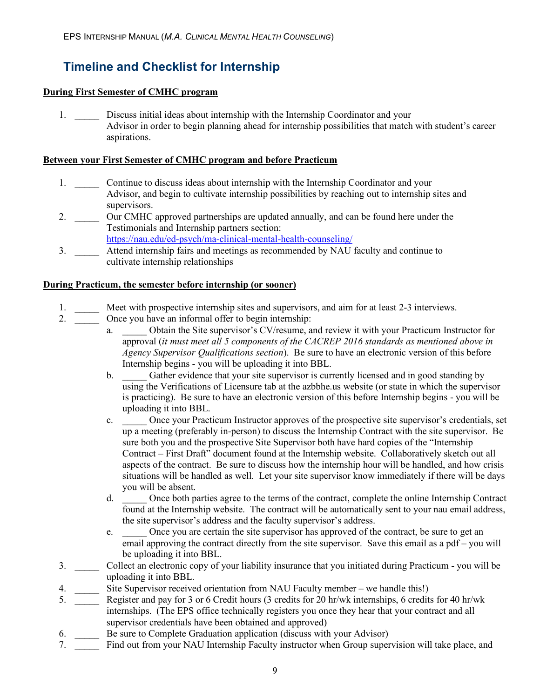# **Timeline and Checklist for Internship**

#### **During First Semester of CMHC program**

1. Discuss initial ideas about internship with the Internship Coordinator and your Advisor in order to begin planning ahead for internship possibilities that match with student's career aspirations.

#### **Between your First Semester of CMHC program and before Practicum**

- 1. Continue to discuss ideas about internship with the Internship Coordinator and your Advisor, and begin to cultivate internship possibilities by reaching out to internship sites and supervisors.
- 2. \_\_\_\_\_ Our CMHC approved partnerships are updated annually, and can be found here under the Testimonials and Internship partners section: https://nau.edu/ed-psych/ma-clinical-mental-health-counseling/
- 3. \_\_\_\_\_ Attend internship fairs and meetings as recommended by NAU faculty and continue to cultivate internship relationships

#### **During Practicum, the semester before internship (or sooner)**

- 1. Meet with prospective internship sites and supervisors, and aim for at least 2-3 interviews.
- 2. \_\_\_\_\_\_\_ Once you have an informal offer to begin internship:
	- a. Obtain the Site supervisor's CV/resume, and review it with your Practicum Instructor for approval (*it must meet all 5 components of the CACREP 2016 standards as mentioned above in Agency Supervisor Qualifications section*). Be sure to have an electronic version of this before Internship begins - you will be uploading it into BBL.
		- b. \_\_\_\_\_ Gather evidence that your site supervisor is currently licensed and in good standing by using the Verifications of Licensure tab at the azbbhe.us website (or state in which the supervisor is practicing). Be sure to have an electronic version of this before Internship begins - you will be uploading it into BBL.
		- c. \_\_\_\_\_ Once your Practicum Instructor approves of the prospective site supervisor's credentials, set up a meeting (preferably in-person) to discuss the Internship Contract with the site supervisor. Be sure both you and the prospective Site Supervisor both have hard copies of the "Internship Contract – First Draft" document found at the Internship website. Collaboratively sketch out all aspects of the contract. Be sure to discuss how the internship hour will be handled, and how crisis situations will be handled as well. Let your site supervisor know immediately if there will be days you will be absent.
		- d. \_\_\_\_\_ Once both parties agree to the terms of the contract, complete the online Internship Contract found at the Internship website. The contract will be automatically sent to your nau email address, the site supervisor's address and the faculty supervisor's address.
		- e. Once you are certain the site supervisor has approved of the contract, be sure to get an email approving the contract directly from the site supervisor. Save this email as a pdf – you will be uploading it into BBL.
- 3. \_\_\_\_\_ Collect an electronic copy of your liability insurance that you initiated during Practicum you will be uploading it into BBL.
- 4. Site Supervisor received orientation from NAU Faculty member we handle this!)
- 5. \_\_\_\_\_ Register and pay for 3 or 6 Credit hours (3 credits for 20 hr/wk internships, 6 credits for 40 hr/wk internships. (The EPS office technically registers you once they hear that your contract and all supervisor credentials have been obtained and approved)
- 6. \_\_\_\_\_ Be sure to Complete Graduation application (discuss with your Advisor)
- 7. \_\_\_\_\_ Find out from your NAU Internship Faculty instructor when Group supervision will take place, and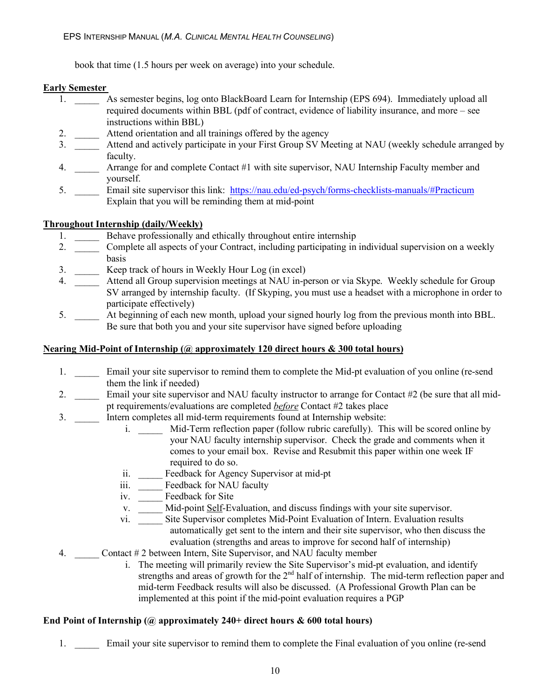book that time (1.5 hours per week on average) into your schedule.

#### **Early Semester**

- 1. \_\_\_\_\_ As semester begins, log onto BlackBoard Learn for Internship (EPS 694). Immediately upload all required documents within BBL (pdf of contract, evidence of liability insurance, and more – see instructions within BBL)
- 2. Attend orientation and all trainings offered by the agency
- 3. \_\_\_\_\_ Attend and actively participate in your First Group SV Meeting at NAU (weekly schedule arranged by faculty.
- 4. \_\_\_\_\_ Arrange for and complete Contact #1 with site supervisor, NAU Internship Faculty member and yourself.
- 5. **Email site supervisor this link:** https://nau.edu/ed-psych/forms-checklists-manuals/#Practicum Explain that you will be reminding them at mid-point

#### **Throughout Internship (daily/Weekly)**

- 1. Behave professionally and ethically throughout entire internship
- 2. Complete all aspects of your Contract, including participating in individual supervision on a weekly basis
- 3. \_\_\_\_\_ Keep track of hours in Weekly Hour Log (in excel)
- 4. Attend all Group supervision meetings at NAU in-person or via Skype. Weekly schedule for Group SV arranged by internship faculty. (If Skyping, you must use a headset with a microphone in order to participate effectively)
- 5. \_\_\_\_\_ At beginning of each new month, upload your signed hourly log from the previous month into BBL. Be sure that both you and your site supervisor have signed before uploading

#### **Nearing Mid-Point of Internship (@ approximately 120 direct hours & 300 total hours)**

- 1. Email your site supervisor to remind them to complete the Mid-pt evaluation of you online (re-send them the link if needed)
- 2. Email your site supervisor and NAU faculty instructor to arrange for Contact #2 (be sure that all midpt requirements/evaluations are completed *before* Contact #2 takes place
- 3. \_\_\_\_\_ Intern completes all mid-term requirements found at Internship website:
	- i. Mid-Term reflection paper (follow rubric carefully). This will be scored online by your NAU faculty internship supervisor. Check the grade and comments when it comes to your email box. Revise and Resubmit this paper within one week IF required to do so.
	- ii. \_\_\_\_\_ Feedback for Agency Supervisor at mid-pt
	- iii. \_\_\_\_\_\_\_\_ Feedback for NAU faculty
	- iv. Feedback for Site
	- v. \_\_\_\_\_ Mid-point Self-Evaluation, and discuss findings with your site supervisor.
	- vi. \_\_\_\_\_ Site Supervisor completes Mid-Point Evaluation of Intern. Evaluation results automatically get sent to the intern and their site supervisor, who then discuss the evaluation (strengths and areas to improve for second half of internship)
- 4. \_\_\_\_\_ Contact # 2 between Intern, Site Supervisor, and NAU faculty member
	- i. The meeting will primarily review the Site Supervisor's mid-pt evaluation, and identify strengths and areas of growth for the  $2<sup>nd</sup>$  half of internship. The mid-term reflection paper and mid-term Feedback results will also be discussed. (A Professional Growth Plan can be implemented at this point if the mid-point evaluation requires a PGP

#### **End Point of Internship (@ approximately 240+ direct hours & 600 total hours)**

1. Email your site supervisor to remind them to complete the Final evaluation of you online (re-send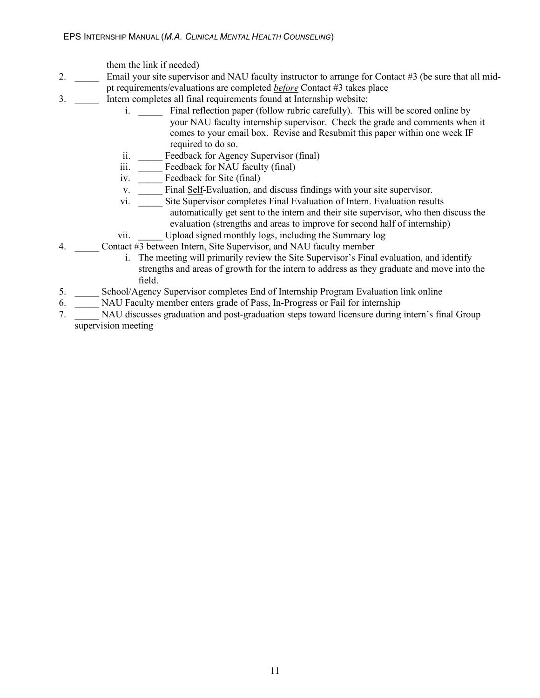them the link if needed)

- 2. Email your site supervisor and NAU faculty instructor to arrange for Contact #3 (be sure that all midpt requirements/evaluations are completed *before* Contact #3 takes place
- 3. \_\_\_\_\_ Intern completes all final requirements found at Internship website:
	- i. Final reflection paper (follow rubric carefully). This will be scored online by your NAU faculty internship supervisor. Check the grade and comments when it comes to your email box. Revise and Resubmit this paper within one week IF required to do so.
	- ii. Feedback for Agency Supervisor (final)
	- iii. Feedback for NAU faculty (final)
	- iv. Feedback for Site (final)
	- v. \_\_\_\_\_ Final Self-Evaluation, and discuss findings with your site supervisor.
	- vi. \_\_\_\_\_ Site Supervisor completes Final Evaluation of Intern. Evaluation results automatically get sent to the intern and their site supervisor, who then discuss the evaluation (strengths and areas to improve for second half of internship)
	- vii. Upload signed monthly logs, including the Summary log
- 4. \_\_\_\_\_ Contact #3 between Intern, Site Supervisor, and NAU faculty member
	- i. The meeting will primarily review the Site Supervisor's Final evaluation, and identify strengths and areas of growth for the intern to address as they graduate and move into the field.
- 5. \_\_\_\_\_ School/Agency Supervisor completes End of Internship Program Evaluation link online
- 6. \_\_\_\_\_ NAU Faculty member enters grade of Pass, In-Progress or Fail for internship
- 7. \_\_\_\_\_ NAU discusses graduation and post-graduation steps toward licensure during intern's final Group supervision meeting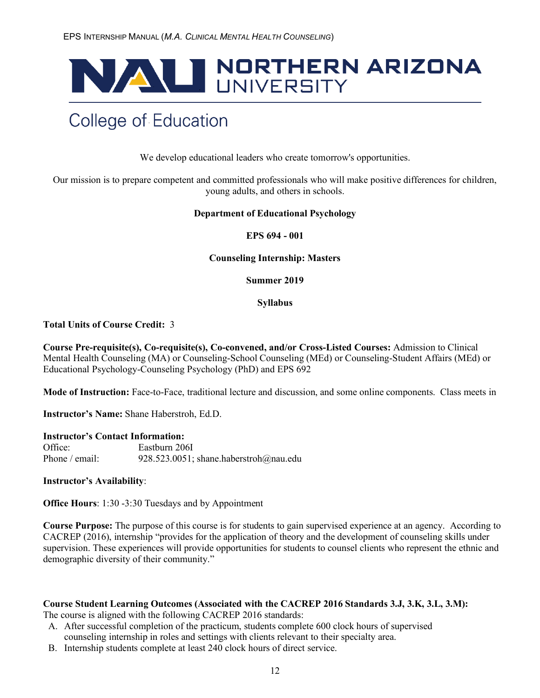# NAU NORTHERN ARIZONA

# **College of Education**

We develop educational leaders who create tomorrow's opportunities.

Our mission is to prepare competent and committed professionals who will make positive differences for children, young adults, and others in schools.

#### **Department of Educational Psychology**

#### **EPS 694 - 001**

#### **Counseling Internship: Masters**

**Summer 2019**

#### **Syllabus**

#### **Total Units of Course Credit:** 3

**Course Pre-requisite(s), Co-requisite(s), Co-convened, and/or Cross-Listed Courses:** Admission to Clinical Mental Health Counseling (MA) or Counseling-School Counseling (MEd) or Counseling-Student Affairs (MEd) or Educational Psychology-Counseling Psychology (PhD) and EPS 692

**Mode of Instruction:** Face-to-Face, traditional lecture and discussion, and some online components. Class meets in

**Instructor's Name:** Shane Haberstroh, Ed.D.

#### **Instructor's Contact Information:**

Office: Eastburn 206I Phone / email: 928.523.0051; shane.haberstroh@nau.edu

**Instructor's Availability**:

**Office Hours**: 1:30 -3:30 Tuesdays and by Appointment

**Course Purpose:** The purpose of this course is for students to gain supervised experience at an agency. According to CACREP (2016), internship "provides for the application of theory and the development of counseling skills under supervision. These experiences will provide opportunities for students to counsel clients who represent the ethnic and demographic diversity of their community."

**Course Student Learning Outcomes (Associated with the CACREP 2016 Standards 3.J, 3.K, 3.L, 3.M):**  The course is aligned with the following CACREP 2016 standards:

- A. After successful completion of the practicum, students complete 600 clock hours of supervised counseling internship in roles and settings with clients relevant to their specialty area.
- B. Internship students complete at least 240 clock hours of direct service.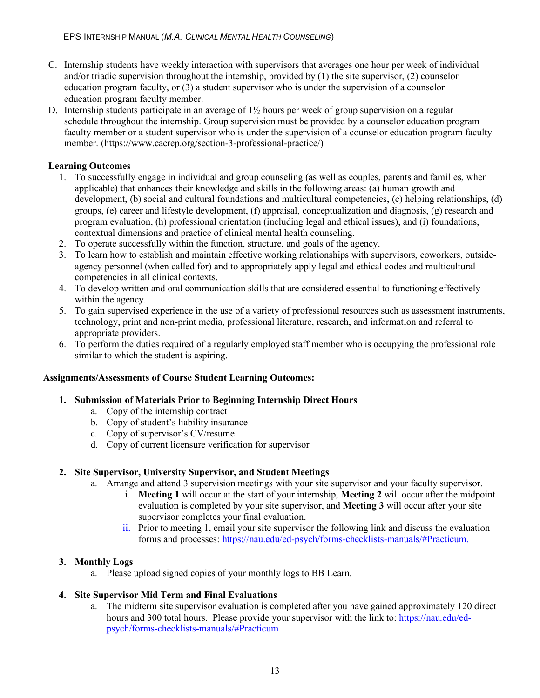- C. Internship students have weekly interaction with supervisors that averages one hour per week of individual and/or triadic supervision throughout the internship, provided by (1) the site supervisor, (2) counselor education program faculty, or (3) a student supervisor who is under the supervision of a counselor education program faculty member.
- D. Internship students participate in an average of  $1/2$  hours per week of group supervision on a regular schedule throughout the internship. Group supervision must be provided by a counselor education program faculty member or a student supervisor who is under the supervision of a counselor education program faculty member. (https://www.cacrep.org/section-3-professional-practice/)

#### **Learning Outcomes**

- 1. To successfully engage in individual and group counseling (as well as couples, parents and families, when applicable) that enhances their knowledge and skills in the following areas: (a) human growth and development, (b) social and cultural foundations and multicultural competencies, (c) helping relationships, (d) groups, (e) career and lifestyle development, (f) appraisal, conceptualization and diagnosis, (g) research and program evaluation, (h) professional orientation (including legal and ethical issues), and (i) foundations, contextual dimensions and practice of clinical mental health counseling.
- 2. To operate successfully within the function, structure, and goals of the agency.
- 3. To learn how to establish and maintain effective working relationships with supervisors, coworkers, outsideagency personnel (when called for) and to appropriately apply legal and ethical codes and multicultural competencies in all clinical contexts.
- 4. To develop written and oral communication skills that are considered essential to functioning effectively within the agency.
- 5. To gain supervised experience in the use of a variety of professional resources such as assessment instruments, technology, print and non-print media, professional literature, research, and information and referral to appropriate providers.
- 6. To perform the duties required of a regularly employed staff member who is occupying the professional role similar to which the student is aspiring.

#### **Assignments/Assessments of Course Student Learning Outcomes:**

- **1. Submission of Materials Prior to Beginning Internship Direct Hours**
	- a. Copy of the internship contract
	- b. Copy of student's liability insurance
	- c. Copy of supervisor's CV/resume
	- d. Copy of current licensure verification for supervisor

#### **2. Site Supervisor, University Supervisor, and Student Meetings**

- a. Arrange and attend 3 supervision meetings with your site supervisor and your faculty supervisor.
	- i. **Meeting 1** will occur at the start of your internship, **Meeting 2** will occur after the midpoint evaluation is completed by your site supervisor, and **Meeting 3** will occur after your site supervisor completes your final evaluation.
	- ii. Prior to meeting 1, email your site supervisor the following link and discuss the evaluation forms and processes: https://nau.edu/ed-psych/forms-checklists-manuals/#Practicum.

#### **3. Monthly Logs**

a. Please upload signed copies of your monthly logs to BB Learn.

#### **4. Site Supervisor Mid Term and Final Evaluations**

a. The midterm site supervisor evaluation is completed after you have gained approximately 120 direct hours and 300 total hours. Please provide your supervisor with the link to: https://nau.edu/edpsych/forms-checklists-manuals/#Practicum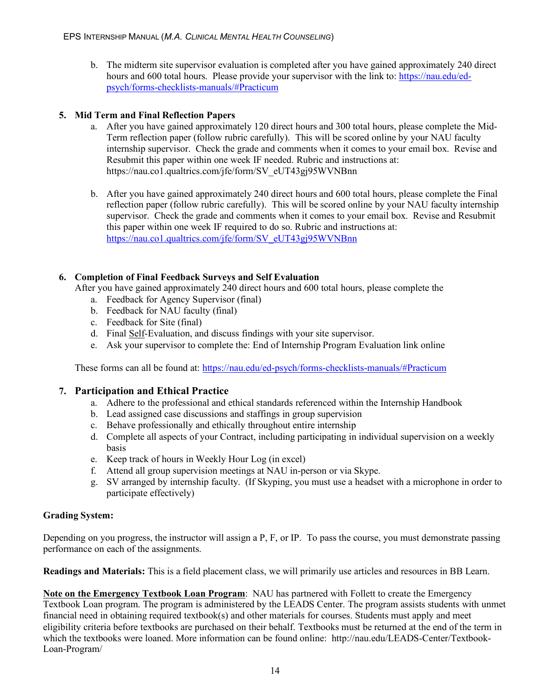b. The midterm site supervisor evaluation is completed after you have gained approximately 240 direct hours and 600 total hours. Please provide your supervisor with the link to: https://nau.edu/edpsych/forms-checklists-manuals/#Practicum

#### **5. Mid Term and Final Reflection Papers**

- a. After you have gained approximately 120 direct hours and 300 total hours, please complete the Mid-Term reflection paper (follow rubric carefully). This will be scored online by your NAU faculty internship supervisor. Check the grade and comments when it comes to your email box. Revise and Resubmit this paper within one week IF needed. Rubric and instructions at: https://nau.co1.qualtrics.com/jfe/form/SV\_eUT43gj95WVNBnn
- b. After you have gained approximately 240 direct hours and 600 total hours, please complete the Final reflection paper (follow rubric carefully). This will be scored online by your NAU faculty internship supervisor. Check the grade and comments when it comes to your email box. Revise and Resubmit this paper within one week IF required to do so. Rubric and instructions at: https://nau.co1.qualtrics.com/jfe/form/SV\_eUT43gj95WVNBnn

#### **6. Completion of Final Feedback Surveys and Self Evaluation**

After you have gained approximately 240 direct hours and 600 total hours, please complete the

- a. Feedback for Agency Supervisor (final)
- b. Feedback for NAU faculty (final)
- c. Feedback for Site (final)
- d. Final Self-Evaluation, and discuss findings with your site supervisor.
- e. Ask your supervisor to complete the: End of Internship Program Evaluation link online

These forms can all be found at: https://nau.edu/ed-psych/forms-checklists-manuals/#Practicum

#### **7. Participation and Ethical Practice**

- a. Adhere to the professional and ethical standards referenced within the Internship Handbook
- b. Lead assigned case discussions and staffings in group supervision
- c. Behave professionally and ethically throughout entire internship
- d. Complete all aspects of your Contract, including participating in individual supervision on a weekly basis
- e. Keep track of hours in Weekly Hour Log (in excel)
- f. Attend all group supervision meetings at NAU in-person or via Skype.
- g. SV arranged by internship faculty. (If Skyping, you must use a headset with a microphone in order to participate effectively)

#### **Grading System:**

Depending on you progress, the instructor will assign a P, F, or IP. To pass the course, you must demonstrate passing performance on each of the assignments.

**Readings and Materials:** This is a field placement class, we will primarily use articles and resources in BB Learn.

**Note on the Emergency Textbook Loan Program**: NAU has partnered with Follett to create the Emergency Textbook Loan program. The program is administered by the LEADS Center. The program assists students with unmet financial need in obtaining required textbook(s) and other materials for courses. Students must apply and meet eligibility criteria before textbooks are purchased on their behalf. Textbooks must be returned at the end of the term in which the textbooks were loaned. More information can be found online: http://nau.edu/LEADS-Center/Textbook-Loan-Program/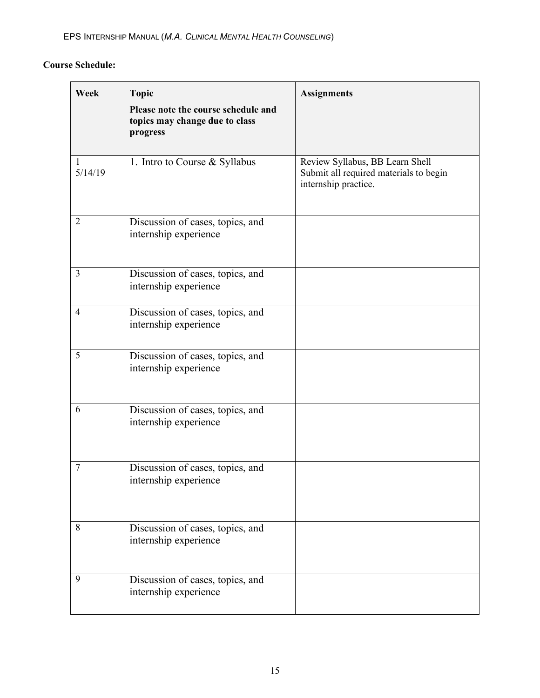## **Course Schedule:**

| Week           | <b>Topic</b><br>Please note the course schedule and<br>topics may change due to class | <b>Assignments</b>                                                                                |
|----------------|---------------------------------------------------------------------------------------|---------------------------------------------------------------------------------------------------|
|                | progress                                                                              |                                                                                                   |
| 1<br>5/14/19   | 1. Intro to Course & Syllabus                                                         | Review Syllabus, BB Learn Shell<br>Submit all required materials to begin<br>internship practice. |
| $\overline{2}$ | Discussion of cases, topics, and<br>internship experience                             |                                                                                                   |
| $\mathfrak{Z}$ | Discussion of cases, topics, and<br>internship experience                             |                                                                                                   |
| $\overline{4}$ | Discussion of cases, topics, and<br>internship experience                             |                                                                                                   |
| 5              | Discussion of cases, topics, and<br>internship experience                             |                                                                                                   |
| 6              | Discussion of cases, topics, and<br>internship experience                             |                                                                                                   |
| $\overline{7}$ | Discussion of cases, topics, and<br>internship experience                             |                                                                                                   |
| 8              | Discussion of cases, topics, and<br>internship experience                             |                                                                                                   |
| 9              | Discussion of cases, topics, and<br>internship experience                             |                                                                                                   |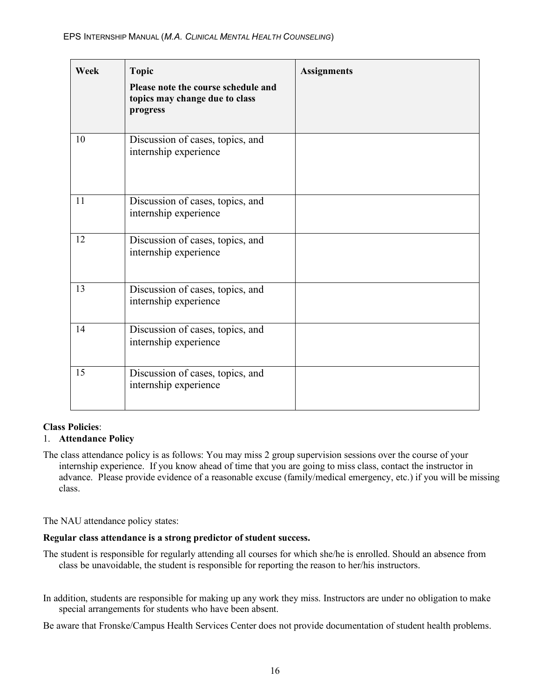| Week | <b>Topic</b><br>Please note the course schedule and<br>topics may change due to class<br>progress | <b>Assignments</b> |
|------|---------------------------------------------------------------------------------------------------|--------------------|
| 10   | Discussion of cases, topics, and<br>internship experience                                         |                    |
| 11   | Discussion of cases, topics, and<br>internship experience                                         |                    |
| 12   | Discussion of cases, topics, and<br>internship experience                                         |                    |
| 13   | Discussion of cases, topics, and<br>internship experience                                         |                    |
| 14   | Discussion of cases, topics, and<br>internship experience                                         |                    |
| 15   | Discussion of cases, topics, and<br>internship experience                                         |                    |

#### **Class Policies**:

#### 1. **Attendance Policy**

The class attendance policy is as follows: You may miss 2 group supervision sessions over the course of your internship experience. If you know ahead of time that you are going to miss class, contact the instructor in advance. Please provide evidence of a reasonable excuse (family/medical emergency, etc.) if you will be missing class.

The NAU attendance policy states:

#### **Regular class attendance is a strong predictor of student success.**

- The student is responsible for regularly attending all courses for which she/he is enrolled. Should an absence from class be unavoidable, the student is responsible for reporting the reason to her/his instructors.
- In addition, students are responsible for making up any work they miss. Instructors are under no obligation to make special arrangements for students who have been absent.

Be aware that Fronske/Campus Health Services Center does not provide documentation of student health problems.